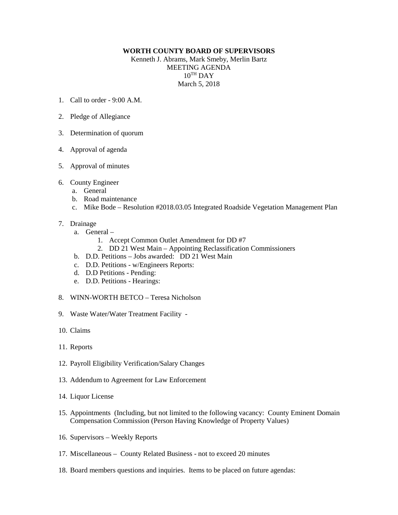## **WORTH COUNTY BOARD OF SUPERVISORS**

Kenneth J. Abrams, Mark Smeby, Merlin Bartz MEETING AGENDA  $10^{TH}$  DAY March 5, 2018

- 1. Call to order 9:00 A.M.
- 2. Pledge of Allegiance
- 3. Determination of quorum
- 4. Approval of agenda
- 5. Approval of minutes
- 6. County Engineer
	- a. General
	- b. Road maintenance
	- c. Mike Bode Resolution #2018.03.05 Integrated Roadside Vegetation Management Plan

## 7. Drainage

- a. General
	- 1. Accept Common Outlet Amendment for DD #7
	- 2. DD 21 West Main Appointing Reclassification Commissioners
- b. D.D. Petitions Jobs awarded: DD 21 West Main
- c. D.D. Petitions w/Engineers Reports:
- d. D.D Petitions Pending:
- e. D.D. Petitions Hearings:
- 8. WINN-WORTH BETCO Teresa Nicholson
- 9. Waste Water/Water Treatment Facility -
- 10. Claims
- 11. Reports
- 12. Payroll Eligibility Verification/Salary Changes
- 13. Addendum to Agreement for Law Enforcement
- 14. Liquor License
- 15. Appointments (Including, but not limited to the following vacancy: County Eminent Domain Compensation Commission (Person Having Knowledge of Property Values)
- 16. Supervisors Weekly Reports
- 17. Miscellaneous County Related Business not to exceed 20 minutes
- 18. Board members questions and inquiries. Items to be placed on future agendas: